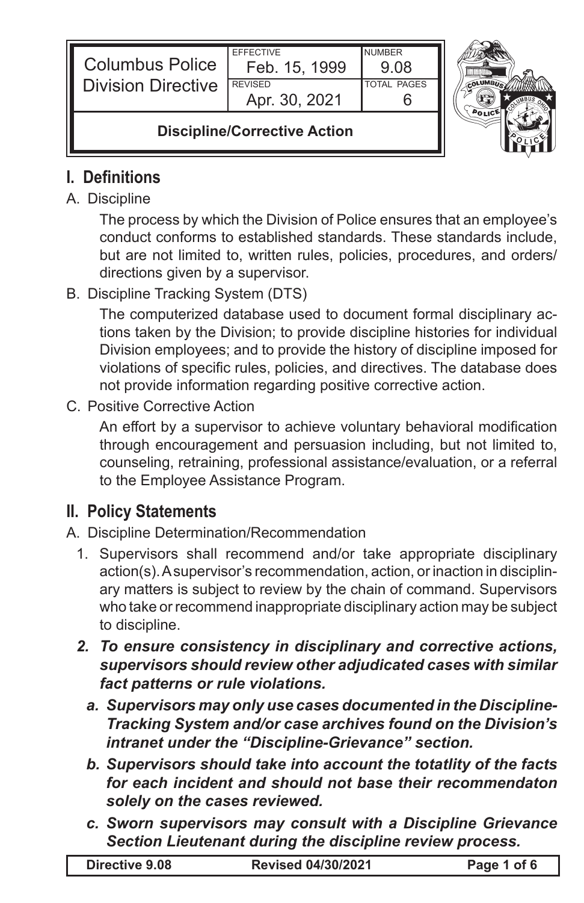| <b>Columbus Police</b><br><b>Division Directive</b> | <b>FFFFCTIVE</b><br>Feb. 15, 1999<br><b>REVISED</b><br>Apr. 30, 2021 | <b>NUMBER</b><br>9.08<br><b>TOTAL PAGES</b> |  |
|-----------------------------------------------------|----------------------------------------------------------------------|---------------------------------------------|--|
| <b>Discipline/Corrective Action</b>                 |                                                                      |                                             |  |

# **I. Definitions**

#### A. Discipline

The process by which the Division of Police ensures that an employee's conduct conforms to established standards. These standards include, but are not limited to, written rules, policies, procedures, and orders/ directions given by a supervisor.

### B. Discipline Tracking System (DTS)

The computerized database used to document formal disciplinary actions taken by the Division; to provide discipline histories for individual Division employees; and to provide the history of discipline imposed for violations of specific rules, policies, and directives. The database does not provide information regarding positive corrective action.

#### C. Positive Corrective Action

An effort by a supervisor to achieve voluntary behavioral modification through encouragement and persuasion including, but not limited to, counseling, retraining, professional assistance/evaluation, or a referral to the Employee Assistance Program.

## **II. Policy Statements**

#### A. Discipline Determination/Recommendation

- 1. Supervisors shall recommend and/or take appropriate disciplinary action(s). A supervisor's recommendation, action, or inaction in disciplinary matters is subject to review by the chain of command. Supervisors who take or recommend inappropriate disciplinary action may be subject to discipline.
- *2. To ensure consistency in disciplinary and corrective actions, supervisors should review other adjudicated cases with similar fact patterns or rule violations.*
	- *a. Supervisors may only use cases documented in the Discipline-Tracking System and/or case archives found on the Division's intranet under the "Discipline-Grievance" section.*
	- *b. Supervisors should take into account the totatlity of the facts for each incident and should not base their recommendaton solely on the cases reviewed.*
	- *c. Sworn supervisors may consult with a Discipline Grievance Section Lieutenant during the discipline review process.*

| Directive 9.08 | <b>Revised 04/30/2021</b> | Page 1 of 6 |
|----------------|---------------------------|-------------|
|                |                           |             |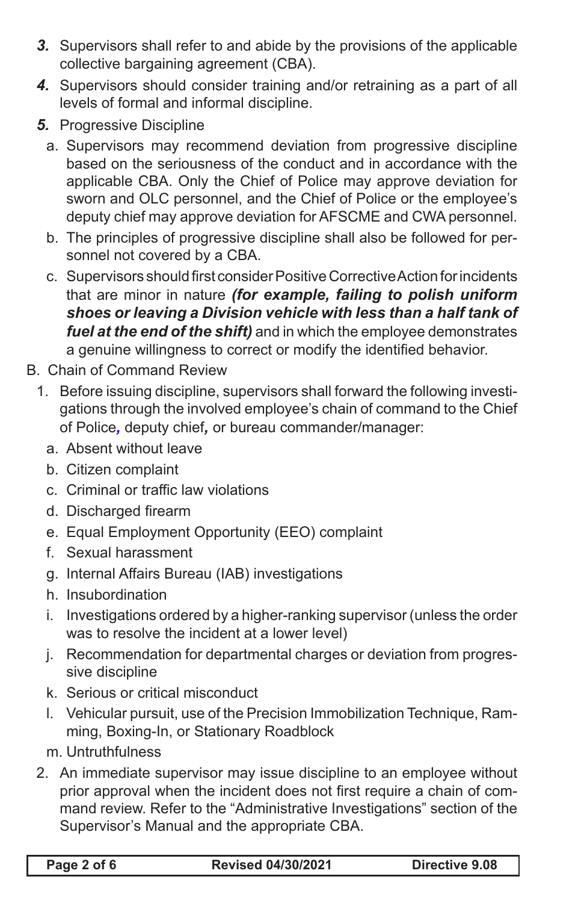- *3.* Supervisors shall refer to and abide by the provisions of the applicable collective bargaining agreement (CBA).
- *4.* Supervisors should consider training and/or retraining as a part of all levels of formal and informal discipline.
- *5.* Progressive Discipline
	- a. Supervisors may recommend deviation from progressive discipline based on the seriousness of the conduct and in accordance with the applicable CBA. Only the Chief of Police may approve deviation for sworn and OLC personnel, and the Chief of Police or the employee's deputy chief may approve deviation for AFSCME and CWA personnel.
	- b. The principles of progressive discipline shall also be followed for personnel not covered by a CBA.
	- c. Supervisors should first consider Positive Corrective Action for incidents that are minor in nature *(for example, failing to polish uniform shoes or leaving a Division vehicle with less than a half tank of fuel at the end of the shift)* and in which the employee demonstrates a genuine willingness to correct or modify the identified behavior.
- B. Chain of Command Review
	- 1. Before issuing discipline, supervisors shall forward the following investigations through the involved employee's chain of command to the Chief of Police*,* deputy chief*,* or bureau commander/manager:
		- a. Absent without leave
		- b. Citizen complaint
		- c. Criminal or traffic law violations
		- d. Discharged firearm
		- e. Equal Employment Opportunity (EEO) complaint
		- f. Sexual harassment
		- g. Internal Affairs Bureau (IAB) investigations
		- h. Insubordination
		- i. Investigations ordered by a higher-ranking supervisor (unless the order was to resolve the incident at a lower level)
		- j. Recommendation for departmental charges or deviation from progressive discipline
		- k. Serious or critical misconduct
		- l. Vehicular pursuit, use of the Precision Immobilization Technique, Ramming, Boxing-In, or Stationary Roadblock
		- m. Untruthfulness
	- 2. An immediate supervisor may issue discipline to an employee without prior approval when the incident does not first require a chain of command review. Refer to the "Administrative Investigations" section of the Supervisor's Manual and the appropriate CBA.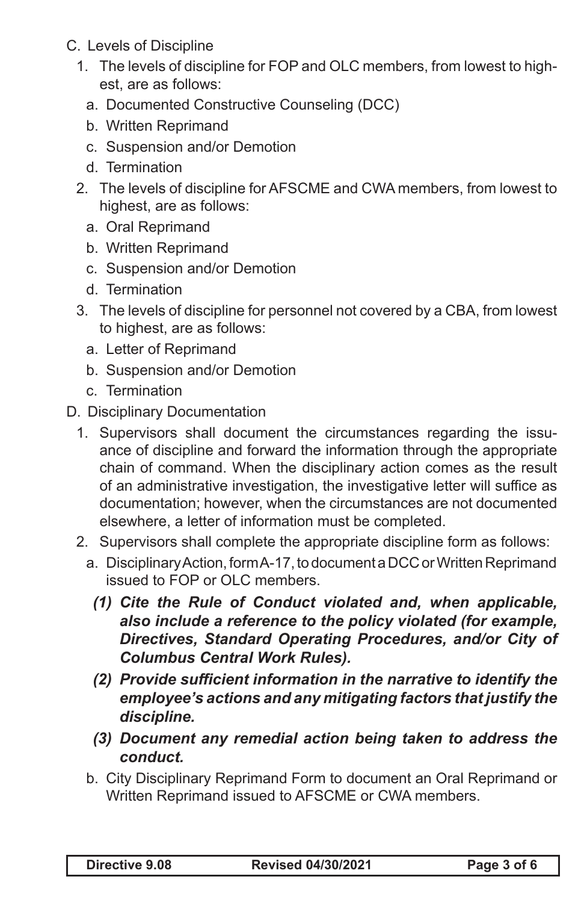- C. Levels of Discipline
	- 1. The levels of discipline for FOP and OLC members, from lowest to highest, are as follows:
		- a. Documented Constructive Counseling (DCC)
		- b. Written Reprimand
		- c. Suspension and/or Demotion
		- d. Termination
	- 2. The levels of discipline for AFSCME and CWA members, from lowest to highest, are as follows:
		- a. Oral Reprimand
		- b. Written Reprimand
		- c. Suspension and/or Demotion
		- d. Termination
	- 3. The levels of discipline for personnel not covered by a CBA, from lowest to highest, are as follows:
		- a. Letter of Reprimand
		- b. Suspension and/or Demotion
		- c. Termination
- D. Disciplinary Documentation
	- 1. Supervisors shall document the circumstances regarding the issuance of discipline and forward the information through the appropriate chain of command. When the disciplinary action comes as the result of an administrative investigation, the investigative letter will suffice as documentation; however, when the circumstances are not documented elsewhere, a letter of information must be completed.
	- 2. Supervisors shall complete the appropriate discipline form as follows:
		- a. Disciplinary Action, form A-17, to document a DCC or Written Reprimand issued to FOP or OLC members.
			- *(1) Cite the Rule of Conduct violated and, when applicable, also include a reference to the policy violated (for example, Directives, Standard Operating Procedures, and/or City of Columbus Central Work Rules).*
			- *(2) Provide sufficient information in the narrative to identify the employee's actions and any mitigating factors that justify the discipline.*
			- *(3) Document any remedial action being taken to address the conduct.*
		- b. City Disciplinary Reprimand Form to document an Oral Reprimand or Written Reprimand issued to AFSCME or CWA members.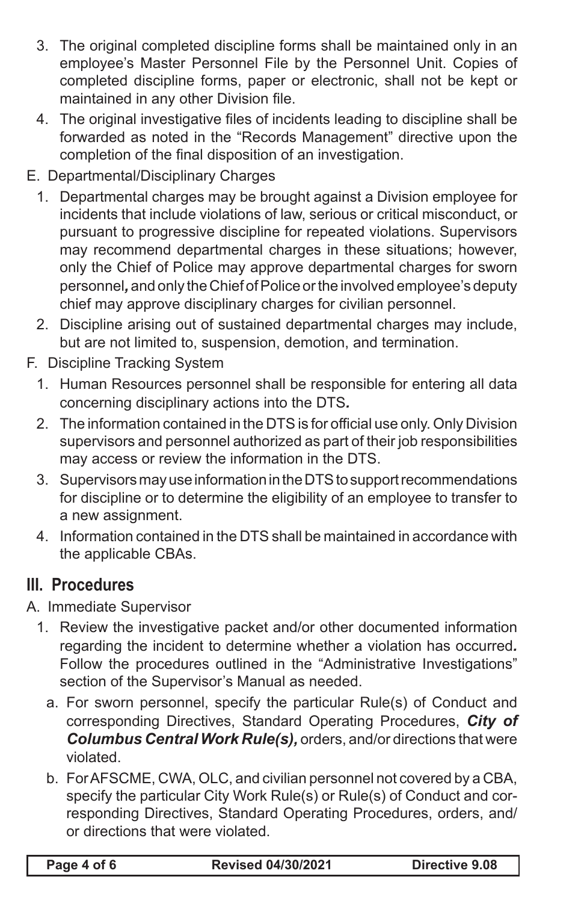- 3. The original completed discipline forms shall be maintained only in an employee's Master Personnel File by the Personnel Unit. Copies of completed discipline forms, paper or electronic, shall not be kept or maintained in any other Division file.
- 4. The original investigative files of incidents leading to discipline shall be forwarded as noted in the "Records Management" directive upon the completion of the final disposition of an investigation.
- E. Departmental/Disciplinary Charges
	- 1. Departmental charges may be brought against a Division employee for incidents that include violations of law, serious or critical misconduct, or pursuant to progressive discipline for repeated violations. Supervisors may recommend departmental charges in these situations; however, only the Chief of Police may approve departmental charges for sworn personnel*,* and only the Chief of Police or the involved employee's deputy chief may approve disciplinary charges for civilian personnel.
	- 2. Discipline arising out of sustained departmental charges may include, but are not limited to, suspension, demotion, and termination.
- F. Discipline Tracking System
	- 1. Human Resources personnel shall be responsible for entering all data concerning disciplinary actions into the DTS*.*
	- 2. The information contained in the DTS is for official use only. Only Division supervisors and personnel authorized as part of their job responsibilities may access or review the information in the DTS.
	- 3. Supervisors may use information in the DTS to support recommendations for discipline or to determine the eligibility of an employee to transfer to a new assignment.
	- 4. Information contained in the DTS shall be maintained in accordance with the applicable CBAs.

## **III. Procedures**

- A. Immediate Supervisor
	- 1. Review the investigative packet and/or other documented information regarding the incident to determine whether a violation has occurred*.*  Follow the procedures outlined in the "Administrative Investigations" section of the Supervisor's Manual as needed.
		- a. For sworn personnel, specify the particular Rule(s) of Conduct and corresponding Directives, Standard Operating Procedures, *City of Columbus Central Work Rule(s),* orders, and/or directions that were violated.
		- b. For AFSCME, CWA, OLC, and civilian personnel not covered by a CBA, specify the particular City Work Rule(s) or Rule(s) of Conduct and corresponding Directives, Standard Operating Procedures, orders, and/ or directions that were violated.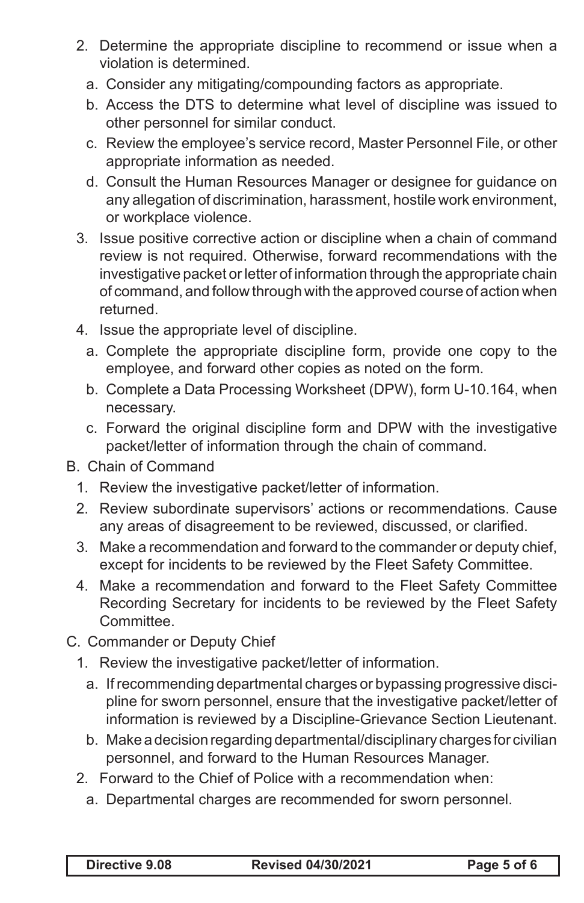- 2. Determine the appropriate discipline to recommend or issue when a violation is determined.
	- a. Consider any mitigating/compounding factors as appropriate.
	- b. Access the DTS to determine what level of discipline was issued to other personnel for similar conduct.
	- c. Review the employee's service record, Master Personnel File, or other appropriate information as needed.
	- d. Consult the Human Resources Manager or designee for guidance on any allegation of discrimination, harassment, hostile work environment, or workplace violence.
- 3. Issue positive corrective action or discipline when a chain of command review is not required. Otherwise, forward recommendations with the investigative packet or letter of information through the appropriate chain of command, and follow through with the approved course of action when returned.
- 4. Issue the appropriate level of discipline.
	- a. Complete the appropriate discipline form, provide one copy to the employee, and forward other copies as noted on the form.
	- b. Complete a Data Processing Worksheet (DPW), form U-10.164, when necessary.
	- c. Forward the original discipline form and DPW with the investigative packet/letter of information through the chain of command.
- B. Chain of Command
	- 1. Review the investigative packet/letter of information.
	- 2. Review subordinate supervisors' actions or recommendations. Cause any areas of disagreement to be reviewed, discussed, or clarified.
	- 3. Make a recommendation and forward to the commander or deputy chief, except for incidents to be reviewed by the Fleet Safety Committee.
	- 4. Make a recommendation and forward to the Fleet Safety Committee Recording Secretary for incidents to be reviewed by the Fleet Safety Committee.
- C. Commander or Deputy Chief
	- 1. Review the investigative packet/letter of information.
		- a. If recommending departmental charges or bypassing progressive discipline for sworn personnel, ensure that the investigative packet/letter of information is reviewed by a Discipline-Grievance Section Lieutenant.
		- b. Make a decision regarding departmental/disciplinary charges for civilian personnel, and forward to the Human Resources Manager.
	- 2. Forward to the Chief of Police with a recommendation when:
		- a. Departmental charges are recommended for sworn personnel.